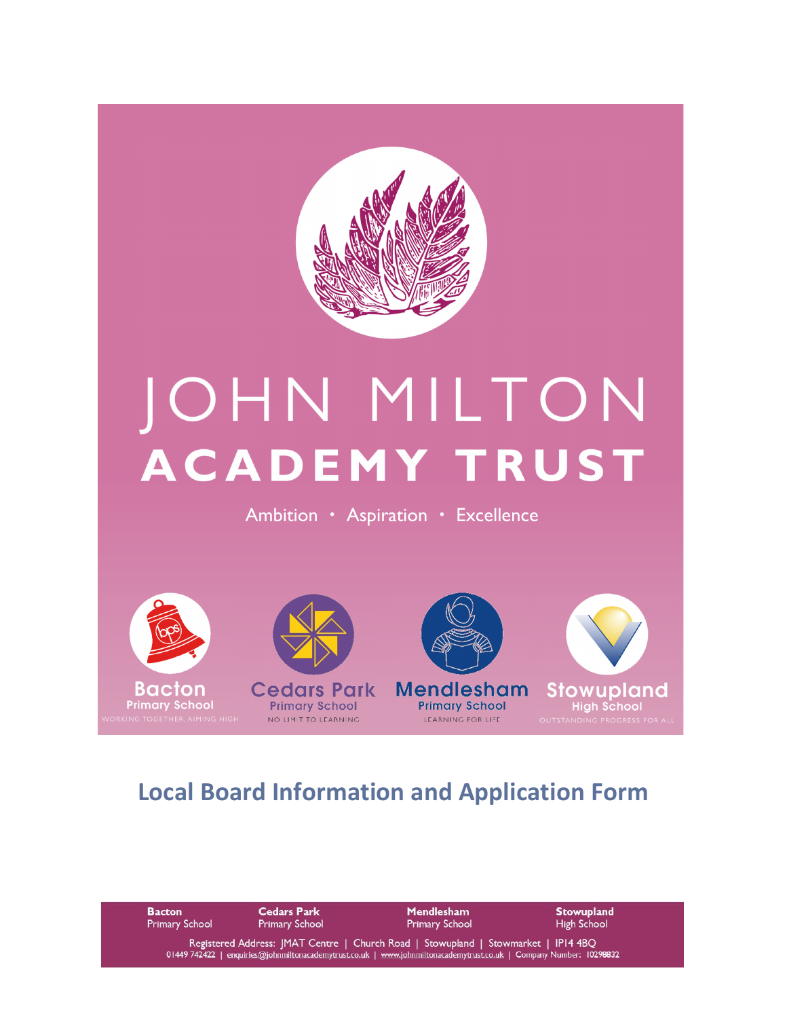

# JOHN MILTON **ACADEMY TRUST**

Ambition · Aspiration · Excellence





NO LIMIT TO LEARNING

**Mendlesham** 



**Primary School** LEARNING FOR LIFE

**Stowupland** 

# **Local Board Information and Application Form**

| <b>Bacton</b>         | <b>Cedars Park</b>    | <b>Mendlesham</b>                                                                                                                                                                                         | <b>Stowupland</b>  |
|-----------------------|-----------------------|-----------------------------------------------------------------------------------------------------------------------------------------------------------------------------------------------------------|--------------------|
| <b>Primary School</b> | <b>Primary School</b> | <b>Primary School</b>                                                                                                                                                                                     | <b>High School</b> |
|                       |                       | Registered Address: JMAT Centre   Church Road   Stowupland   Stowmarket   IP14 4BQ<br>01449 742422   enquiries@johnmiltonacademytrust.co.uk   www.johnmiltonacademytrust.co.uk   Company Number: 10298832 |                    |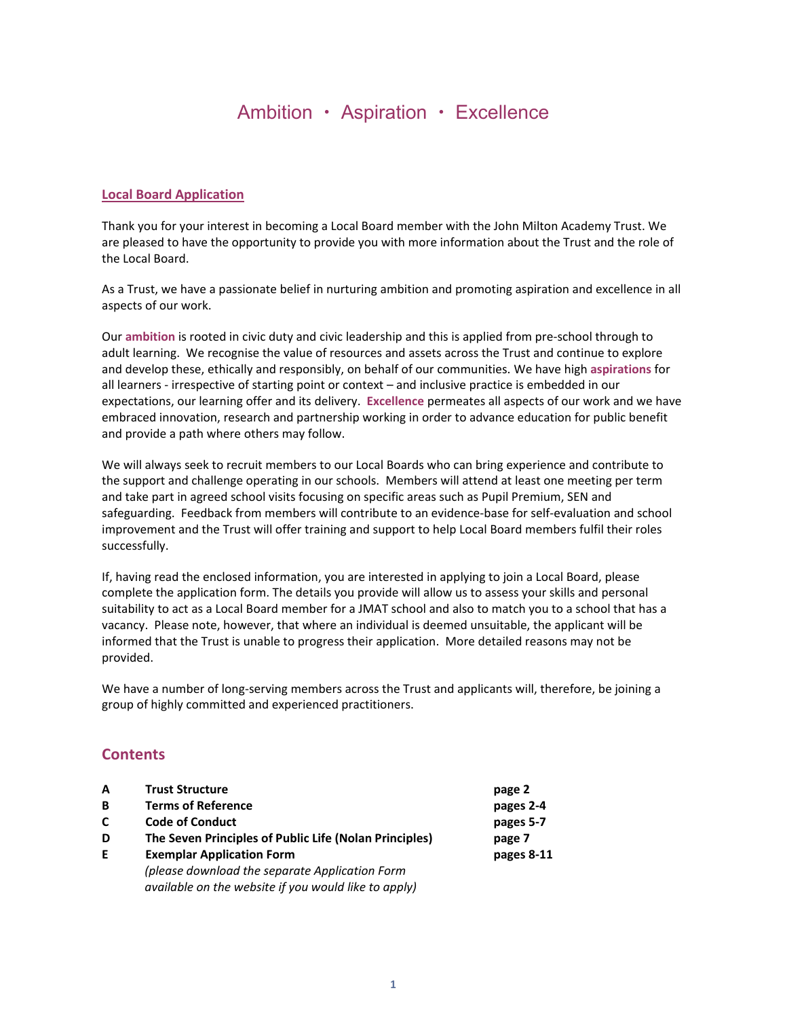## Ambition • Aspiration • Excellence

#### **Local Board Application**

Thank you for your interest in becoming a Local Board member with the John Milton Academy Trust. We are pleased to have the opportunity to provide you with more information about the Trust and the role of the Local Board.

As a Trust, we have a passionate belief in nurturing ambition and promoting aspiration and excellence in all aspects of our work.

Our **ambition** is rooted in civic duty and civic leadership and this is applied from pre‐school through to adult learning. We recognise the value of resources and assets across the Trust and continue to explore and develop these, ethically and responsibly, on behalf of our communities. We have high **aspirations** for all learners ‐ irrespective of starting point or context – and inclusive practice is embedded in our expectations, our learning offer and its delivery. **Excellence** permeates all aspects of our work and we have embraced innovation, research and partnership working in order to advance education for public benefit and provide a path where others may follow.

We will always seek to recruit members to our Local Boards who can bring experience and contribute to the support and challenge operating in our schools. Members will attend at least one meeting per term and take part in agreed school visits focusing on specific areas such as Pupil Premium, SEN and safeguarding. Feedback from members will contribute to an evidence‐base for self‐evaluation and school improvement and the Trust will offer training and support to help Local Board members fulfil their roles successfully.

If, having read the enclosed information, you are interested in applying to join a Local Board, please complete the application form. The details you provide will allow us to assess your skills and personal suitability to act as a Local Board member for a JMAT school and also to match you to a school that has a vacancy. Please note, however, that where an individual is deemed unsuitable, the applicant will be informed that the Trust is unable to progress their application. More detailed reasons may not be provided.

We have a number of long-serving members across the Trust and applicants will, therefore, be joining a group of highly committed and experienced practitioners.

#### **Contents**

| A  | <b>Trust Structure</b>                                 | page 2     |
|----|--------------------------------------------------------|------------|
| B  | <b>Terms of Reference</b>                              | pages 2-4  |
| C  | <b>Code of Conduct</b>                                 | pages 5-7  |
| D  | The Seven Principles of Public Life (Nolan Principles) | page 7     |
| E. | <b>Exemplar Application Form</b>                       | pages 8-11 |
|    | (please download the separate Application Form         |            |
|    | available on the website if you would like to apply)   |            |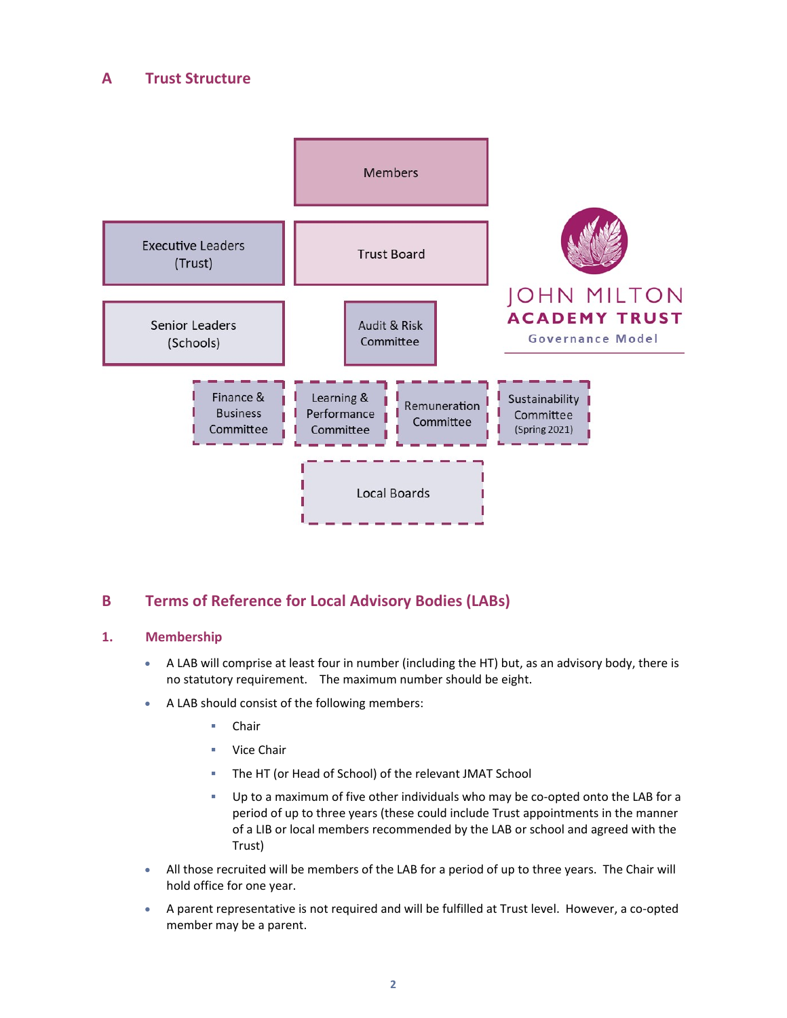#### **A Trust Structure**



#### **B Terms of Reference for Local Advisory Bodies (LABs)**

#### **1. Membership**

- A LAB will comprise at least four in number (including the HT) but, as an advisory body, there is no statutory requirement. The maximum number should be eight.
- A LAB should consist of the following members:
	- Chair
	- Vice Chair
	- The HT (or Head of School) of the relevant JMAT School
	- Up to a maximum of five other individuals who may be co‐opted onto the LAB for a period of up to three years (these could include Trust appointments in the manner of a LIB or local members recommended by the LAB or school and agreed with the Trust)
- All those recruited will be members of the LAB for a period of up to three years. The Chair will hold office for one year.
- A parent representative is not required and will be fulfilled at Trust level. However, a co-opted member may be a parent.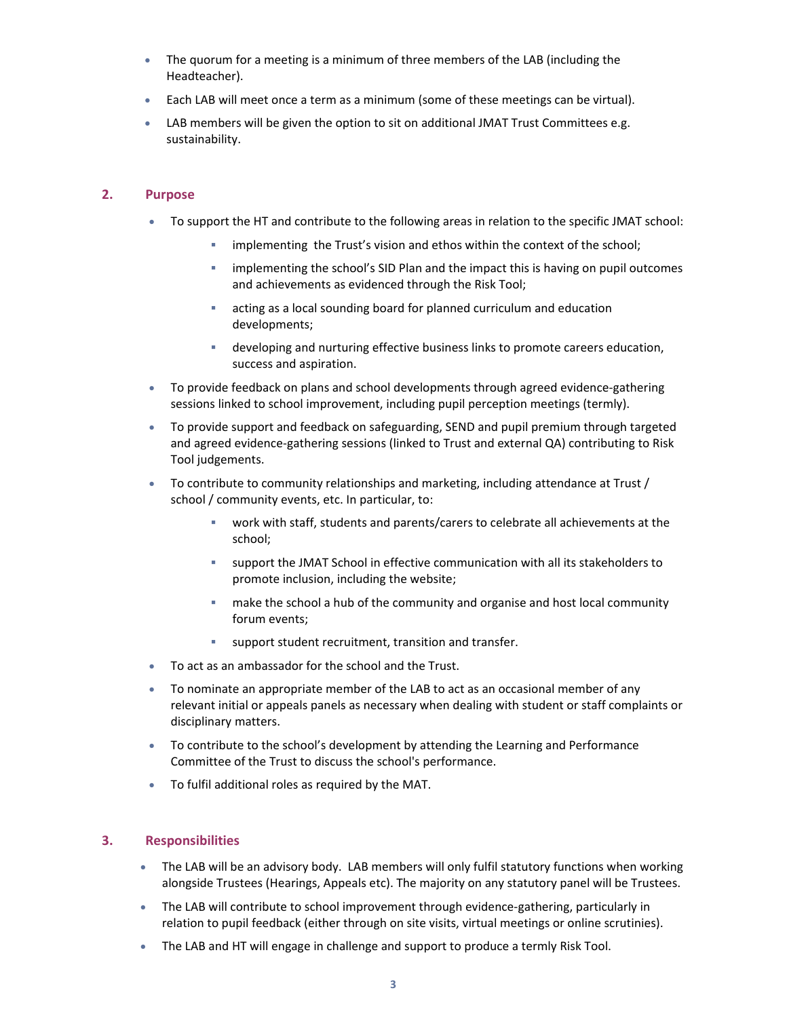- The quorum for a meeting is a minimum of three members of the LAB (including the Headteacher).
- Each LAB will meet once a term as a minimum (some of these meetings can be virtual).
- LAB members will be given the option to sit on additional JMAT Trust Committees e.g. sustainability.

#### **2. Purpose**

- To support the HT and contribute to the following areas in relation to the specific JMAT school:
	- implementing the Trust's vision and ethos within the context of the school;
	- implementing the school's SID Plan and the impact this is having on pupil outcomes and achievements as evidenced through the Risk Tool;
	- acting as a local sounding board for planned curriculum and education developments;
	- developing and nurturing effective business links to promote careers education, success and aspiration.
- To provide feedback on plans and school developments through agreed evidence-gathering sessions linked to school improvement, including pupil perception meetings (termly).
- To provide support and feedback on safeguarding, SEND and pupil premium through targeted and agreed evidence‐gathering sessions (linked to Trust and external QA) contributing to Risk Tool judgements.
- To contribute to community relationships and marketing, including attendance at Trust / school / community events, etc. In particular, to:
	- work with staff, students and parents/carers to celebrate all achievements at the school;
	- support the JMAT School in effective communication with all its stakeholders to promote inclusion, including the website;
	- make the school a hub of the community and organise and host local community forum events;
	- support student recruitment, transition and transfer.
- To act as an ambassador for the school and the Trust.
- To nominate an appropriate member of the LAB to act as an occasional member of any relevant initial or appeals panels as necessary when dealing with student or staff complaints or disciplinary matters.
- To contribute to the school's development by attending the Learning and Performance Committee of the Trust to discuss the school's performance.
- To fulfil additional roles as required by the MAT.

#### **3. Responsibilities**

- The LAB will be an advisory body. LAB members will only fulfil statutory functions when working alongside Trustees (Hearings, Appeals etc). The majority on any statutory panel will be Trustees.
- The LAB will contribute to school improvement through evidence-gathering, particularly in relation to pupil feedback (either through on site visits, virtual meetings or online scrutinies).
- The LAB and HT will engage in challenge and support to produce a termly Risk Tool.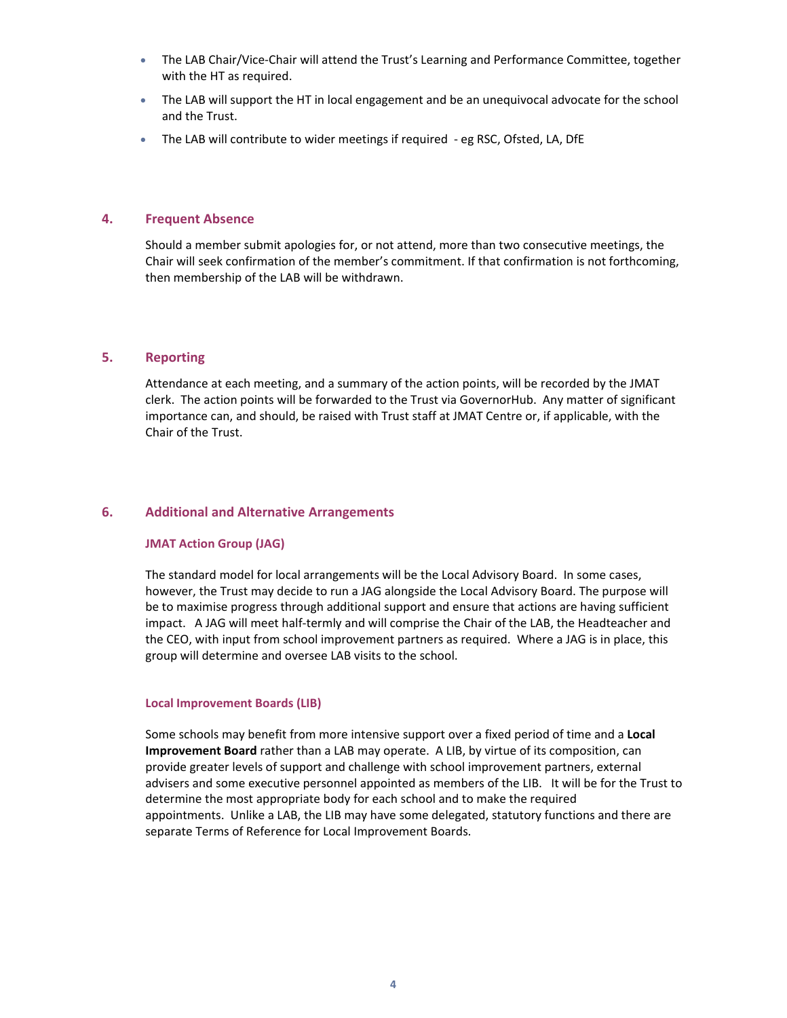- The LAB Chair/Vice-Chair will attend the Trust's Learning and Performance Committee, together with the HT as required.
- The LAB will support the HT in local engagement and be an unequivocal advocate for the school and the Trust.
- The LAB will contribute to wider meetings if required eg RSC, Ofsted, LA, DfE

#### **4. Frequent Absence**

Should a member submit apologies for, or not attend, more than two consecutive meetings, the Chair will seek confirmation of the member's commitment. If that confirmation is not forthcoming, then membership of the LAB will be withdrawn.

#### **5. Reporting**

Attendance at each meeting, and a summary of the action points, will be recorded by the JMAT clerk. The action points will be forwarded to the Trust via GovernorHub. Any matter of significant importance can, and should, be raised with Trust staff at JMAT Centre or, if applicable, with the Chair of the Trust.

#### **6. Additional and Alternative Arrangements**

#### **JMAT Action Group (JAG)**

The standard model for local arrangements will be the Local Advisory Board. In some cases, however, the Trust may decide to run a JAG alongside the Local Advisory Board. The purpose will be to maximise progress through additional support and ensure that actions are having sufficient impact. A JAG will meet half-termly and will comprise the Chair of the LAB, the Headteacher and the CEO, with input from school improvement partners as required. Where a JAG is in place, this group will determine and oversee LAB visits to the school.

#### **Local Improvement Boards (LIB)**

Some schools may benefit from more intensive support over a fixed period of time and a **Local Improvement Board** rather than a LAB may operate. A LIB, by virtue of its composition, can provide greater levels of support and challenge with school improvement partners, external advisers and some executive personnel appointed as members of the LIB. It will be for the Trust to determine the most appropriate body for each school and to make the required appointments. Unlike a LAB, the LIB may have some delegated, statutory functions and there are separate Terms of Reference for Local Improvement Boards.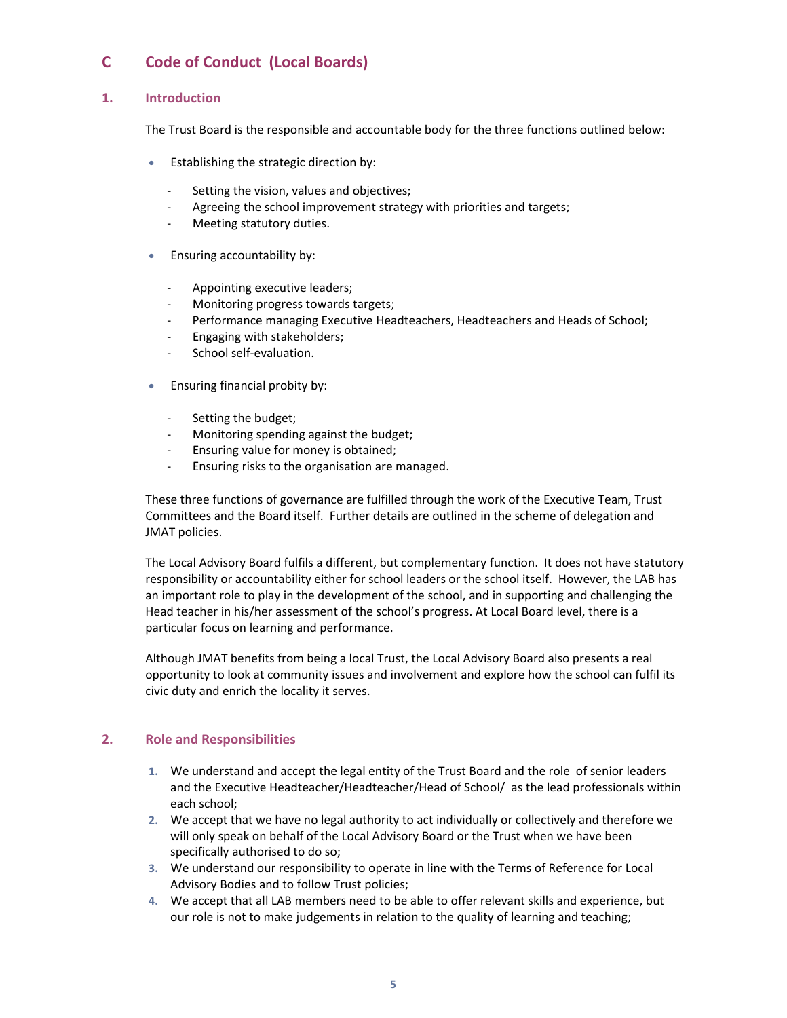## **C Code of Conduct (Local Boards)**

#### **1. Introduction**

The Trust Board is the responsible and accountable body for the three functions outlined below:

- **Establishing the strategic direction by:** 
	- Setting the vision, values and objectives;
	- Agreeing the school improvement strategy with priorities and targets;
	- ‐ Meeting statutory duties.
- **Ensuring accountability by:** 
	- ‐ Appointing executive leaders;
	- ‐ Monitoring progress towards targets;
	- ‐ Performance managing Executive Headteachers, Headteachers and Heads of School;
	- ‐ Engaging with stakeholders;
	- School self-evaluation.
- **Ensuring financial probity by:** 
	- ‐ Setting the budget;
	- ‐ Monitoring spending against the budget;
	- ‐ Ensuring value for money is obtained;
	- ‐ Ensuring risks to the organisation are managed.

These three functions of governance are fulfilled through the work of the Executive Team, Trust Committees and the Board itself. Further details are outlined in the scheme of delegation and JMAT policies.

The Local Advisory Board fulfils a different, but complementary function. It does not have statutory responsibility or accountability either for school leaders or the school itself. However, the LAB has an important role to play in the development of the school, and in supporting and challenging the Head teacher in his/her assessment of the school's progress. At Local Board level, there is a particular focus on learning and performance.

Although JMAT benefits from being a local Trust, the Local Advisory Board also presents a real opportunity to look at community issues and involvement and explore how the school can fulfil its civic duty and enrich the locality it serves.

#### **2. Role and Responsibilities**

- **1.** We understand and accept the legal entity of the Trust Board and the role of senior leaders and the Executive Headteacher/Headteacher/Head of School/ as the lead professionals within each school;
- **2.** We accept that we have no legal authority to act individually or collectively and therefore we will only speak on behalf of the Local Advisory Board or the Trust when we have been specifically authorised to do so;
- **3.** We understand our responsibility to operate in line with the Terms of Reference for Local Advisory Bodies and to follow Trust policies;
- **4.** We accept that all LAB members need to be able to offer relevant skills and experience, but our role is not to make judgements in relation to the quality of learning and teaching;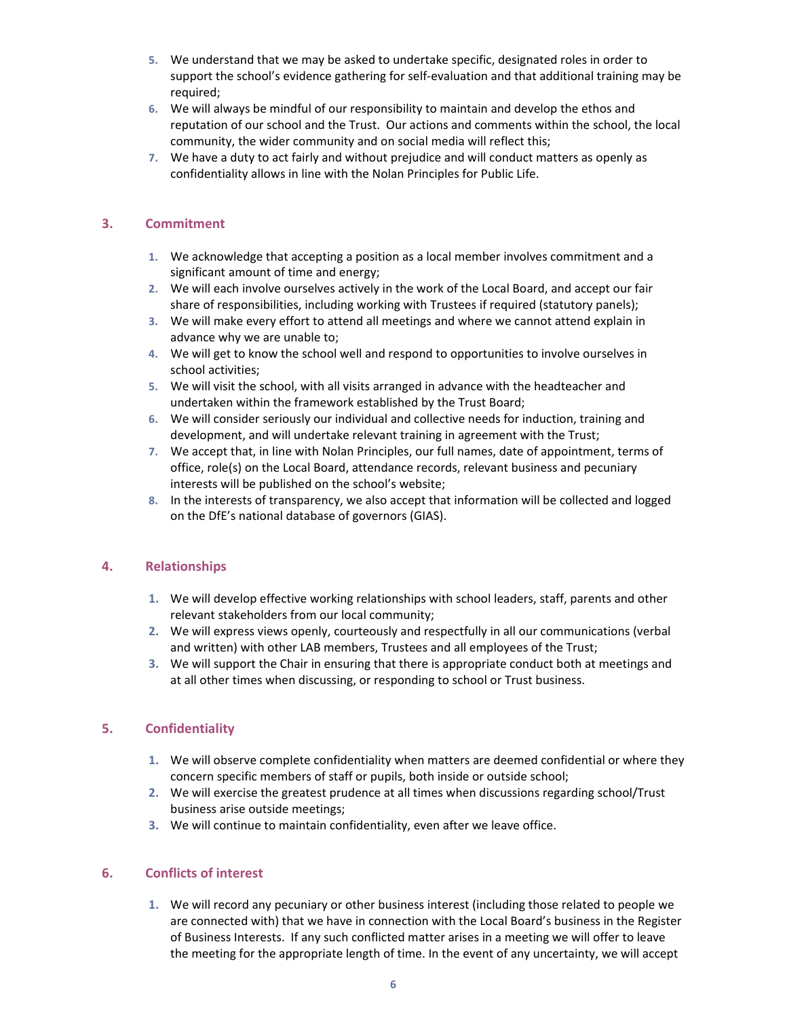- **5.** We understand that we may be asked to undertake specific, designated roles in order to support the school's evidence gathering for self-evaluation and that additional training may be required;
- **6.** We will always be mindful of our responsibility to maintain and develop the ethos and reputation of our school and the Trust. Our actions and comments within the school, the local community, the wider community and on social media will reflect this;
- **7.** We have a duty to act fairly and without prejudice and will conduct matters as openly as confidentiality allows in line with the Nolan Principles for Public Life.

#### **3. Commitment**

- **1.** We acknowledge that accepting a position as a local member involves commitment and a significant amount of time and energy;
- **2.** We will each involve ourselves actively in the work of the Local Board, and accept our fair share of responsibilities, including working with Trustees if required (statutory panels);
- **3.** We will make every effort to attend all meetings and where we cannot attend explain in advance why we are unable to;
- **4.** We will get to know the school well and respond to opportunities to involve ourselves in school activities;
- **5.** We will visit the school, with all visits arranged in advance with the headteacher and undertaken within the framework established by the Trust Board;
- **6.** We will consider seriously our individual and collective needs for induction, training and development, and will undertake relevant training in agreement with the Trust;
- **7.** We accept that, in line with Nolan Principles, our full names, date of appointment, terms of office, role(s) on the Local Board, attendance records, relevant business and pecuniary interests will be published on the school's website;
- **8.** In the interests of transparency, we also accept that information will be collected and logged on the DfE's national database of governors (GIAS).

#### **4. Relationships**

- **1.** We will develop effective working relationships with school leaders, staff, parents and other relevant stakeholders from our local community;
- **2.** We will express views openly, courteously and respectfully in all our communications (verbal and written) with other LAB members, Trustees and all employees of the Trust;
- **3.** We will support the Chair in ensuring that there is appropriate conduct both at meetings and at all other times when discussing, or responding to school or Trust business.

#### **5. Confidentiality**

- **1.** We will observe complete confidentiality when matters are deemed confidential or where they concern specific members of staff or pupils, both inside or outside school;
- **2.** We will exercise the greatest prudence at all times when discussions regarding school/Trust business arise outside meetings;
- **3.** We will continue to maintain confidentiality, even after we leave office.

#### **6. Conflicts of interest**

**1.** We will record any pecuniary or other business interest (including those related to people we are connected with) that we have in connection with the Local Board's business in the Register of Business Interests. If any such conflicted matter arises in a meeting we will offer to leave the meeting for the appropriate length of time. In the event of any uncertainty, we will accept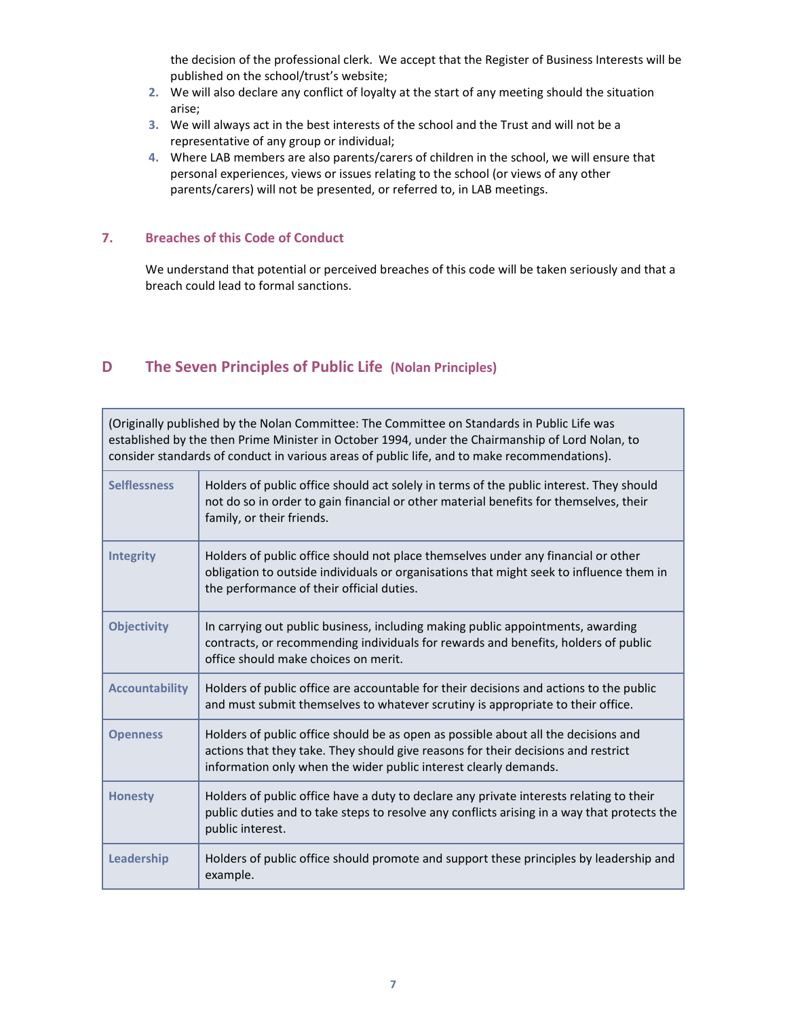the decision of the professional clerk. We accept that the Register of Business Interests will be published on the school/trust's website;

- **2.** We will also declare any conflict of loyalty at the start of any meeting should the situation arise;
- **3.** We will always act in the best interests of the school and the Trust and will not be a representative of any group or individual;
- **4.** Where LAB members are also parents/carers of children in the school, we will ensure that personal experiences, views or issues relating to the school (or views of any other parents/carers) will not be presented, or referred to, in LAB meetings.

#### **7. Breaches of this Code of Conduct**

We understand that potential or perceived breaches of this code will be taken seriously and that a breach could lead to formal sanctions.

#### **D The Seven Principles of Public Life (Nolan Principles)**

(Originally published by the Nolan Committee: The Committee on Standards in Public Life was established by the then Prime Minister in October 1994, under the Chairmanship of Lord Nolan, to consider standards of conduct in various areas of public life, and to make recommendations).

| <b>Selflessness</b>   | Holders of public office should act solely in terms of the public interest. They should<br>not do so in order to gain financial or other material benefits for themselves, their<br>family, or their friends.                               |
|-----------------------|---------------------------------------------------------------------------------------------------------------------------------------------------------------------------------------------------------------------------------------------|
| <b>Integrity</b>      | Holders of public office should not place themselves under any financial or other<br>obligation to outside individuals or organisations that might seek to influence them in<br>the performance of their official duties.                   |
| <b>Objectivity</b>    | In carrying out public business, including making public appointments, awarding<br>contracts, or recommending individuals for rewards and benefits, holders of public<br>office should make choices on merit.                               |
| <b>Accountability</b> | Holders of public office are accountable for their decisions and actions to the public<br>and must submit themselves to whatever scrutiny is appropriate to their office.                                                                   |
| <b>Openness</b>       | Holders of public office should be as open as possible about all the decisions and<br>actions that they take. They should give reasons for their decisions and restrict<br>information only when the wider public interest clearly demands. |
| <b>Honesty</b>        | Holders of public office have a duty to declare any private interests relating to their<br>public duties and to take steps to resolve any conflicts arising in a way that protects the<br>public interest.                                  |
| Leadership            | Holders of public office should promote and support these principles by leadership and<br>example.                                                                                                                                          |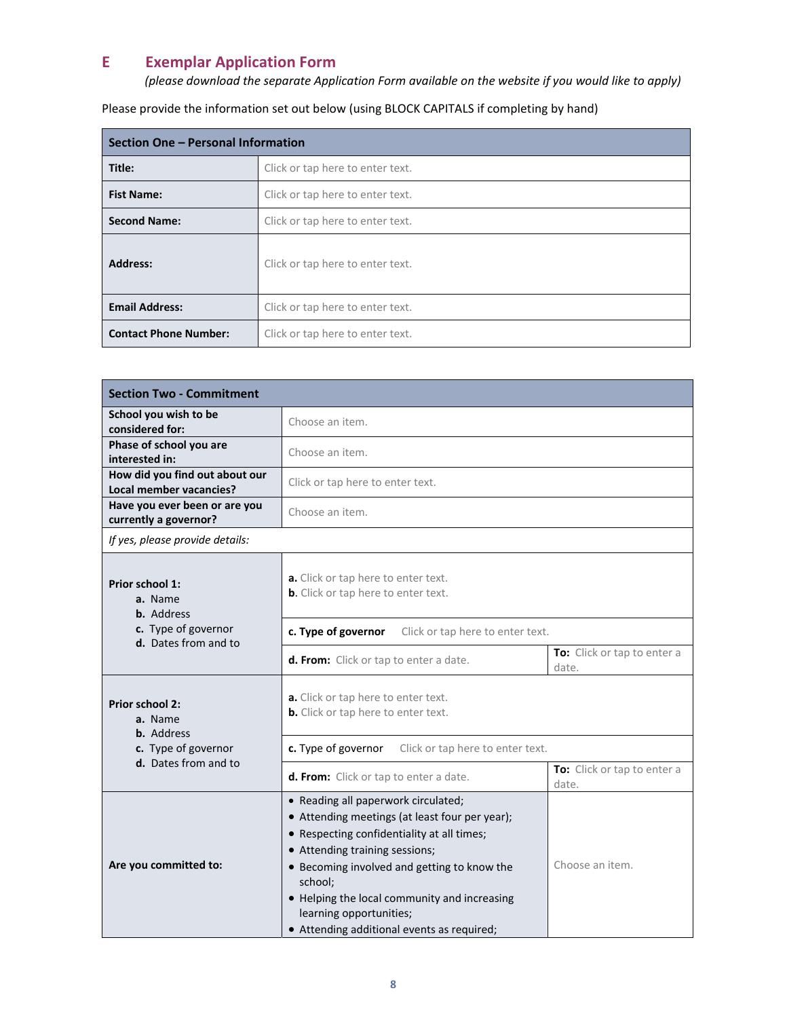### **E Exemplar Application Form**

*(please download the separate Application Form available on the website if you would like to apply)*

Please provide the information set out below (using BLOCK CAPITALS if completing by hand)

| Section One - Personal Information                        |                                  |  |
|-----------------------------------------------------------|----------------------------------|--|
| Title:                                                    | Click or tap here to enter text. |  |
| <b>Fist Name:</b>                                         | Click or tap here to enter text. |  |
| <b>Second Name:</b>                                       | Click or tap here to enter text. |  |
| <b>Address:</b>                                           | Click or tap here to enter text. |  |
| <b>Email Address:</b><br>Click or tap here to enter text. |                                  |  |
| <b>Contact Phone Number:</b>                              | Click or tap here to enter text. |  |

| <b>Section Two - Commitment</b>                           |                                                                                                                                                                                                                                                                                                                                                          |                                      |  |  |
|-----------------------------------------------------------|----------------------------------------------------------------------------------------------------------------------------------------------------------------------------------------------------------------------------------------------------------------------------------------------------------------------------------------------------------|--------------------------------------|--|--|
| School you wish to be<br>considered for:                  | Choose an item.                                                                                                                                                                                                                                                                                                                                          |                                      |  |  |
| Phase of school you are<br>interested in:                 | Choose an item.                                                                                                                                                                                                                                                                                                                                          |                                      |  |  |
| How did you find out about our<br>Local member vacancies? | Click or tap here to enter text.                                                                                                                                                                                                                                                                                                                         |                                      |  |  |
| Have you ever been or are you<br>currently a governor?    | Choose an item.                                                                                                                                                                                                                                                                                                                                          |                                      |  |  |
| If yes, please provide details:                           |                                                                                                                                                                                                                                                                                                                                                          |                                      |  |  |
| Prior school 1:<br>a. Name<br><b>b.</b> Address           | a. Click or tap here to enter text.<br>b. Click or tap here to enter text.                                                                                                                                                                                                                                                                               |                                      |  |  |
| c. Type of governor<br>d. Dates from and to               | c. Type of governor<br>Click or tap here to enter text.                                                                                                                                                                                                                                                                                                  |                                      |  |  |
|                                                           | d. From: Click or tap to enter a date.                                                                                                                                                                                                                                                                                                                   | To: Click or tap to enter a<br>date. |  |  |
| Prior school 2:<br>a. Name<br><b>b.</b> Address           | a. Click or tap here to enter text.<br><b>b.</b> Click or tap here to enter text.                                                                                                                                                                                                                                                                        |                                      |  |  |
| c. Type of governor                                       | c. Type of governor<br>Click or tap here to enter text.                                                                                                                                                                                                                                                                                                  |                                      |  |  |
| d. Dates from and to                                      | d. From: Click or tap to enter a date.                                                                                                                                                                                                                                                                                                                   | To: Click or tap to enter a<br>date. |  |  |
| Are you committed to:                                     | • Reading all paperwork circulated;<br>• Attending meetings (at least four per year);<br>• Respecting confidentiality at all times;<br>• Attending training sessions;<br>• Becoming involved and getting to know the<br>school;<br>• Helping the local community and increasing<br>learning opportunities;<br>• Attending additional events as required; | Choose an item.                      |  |  |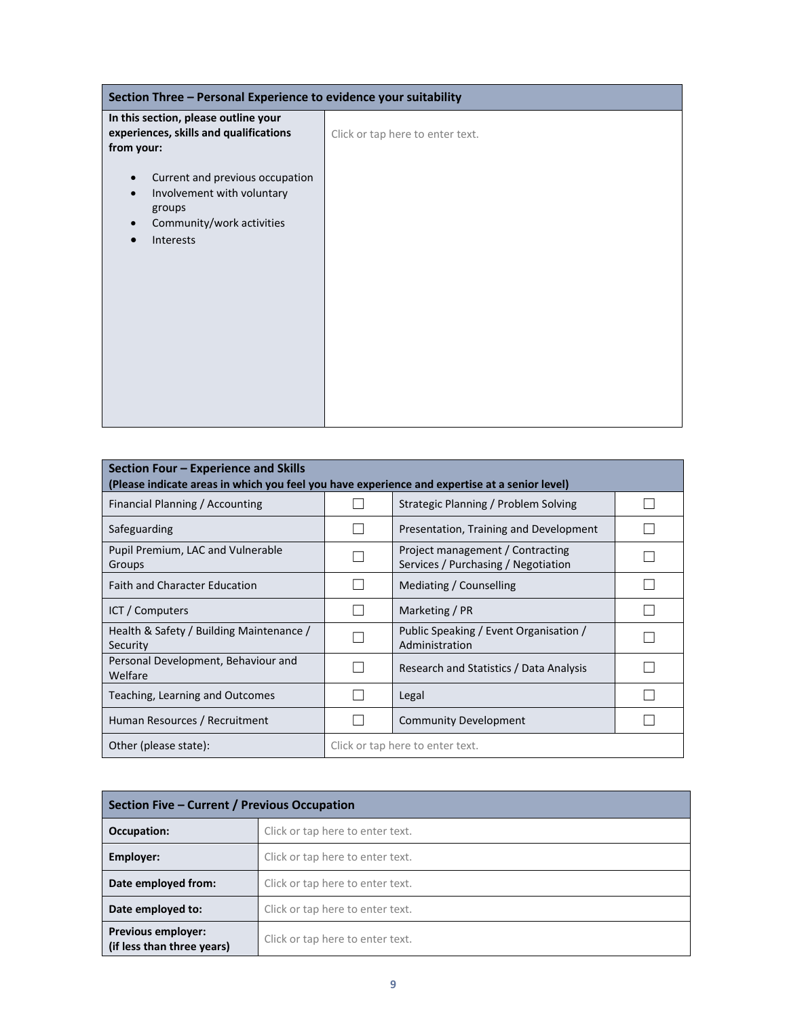| Section Three - Personal Experience to evidence your suitability                                                  |                                  |  |
|-------------------------------------------------------------------------------------------------------------------|----------------------------------|--|
| In this section, please outline your<br>experiences, skills and qualifications<br>from your:                      | Click or tap here to enter text. |  |
| Current and previous occupation<br>Involvement with voluntary<br>groups<br>Community/work activities<br>Interests |                                  |  |

| Section Four – Experience and Skills<br>(Please indicate areas in which you feel you have experience and expertise at a senior level) |  |                                                                         |  |  |
|---------------------------------------------------------------------------------------------------------------------------------------|--|-------------------------------------------------------------------------|--|--|
| Financial Planning / Accounting                                                                                                       |  | Strategic Planning / Problem Solving                                    |  |  |
| Safeguarding                                                                                                                          |  | Presentation, Training and Development                                  |  |  |
| Pupil Premium, LAC and Vulnerable<br>Groups                                                                                           |  | Project management / Contracting<br>Services / Purchasing / Negotiation |  |  |
| <b>Faith and Character Education</b>                                                                                                  |  | Mediating / Counselling                                                 |  |  |
| ICT / Computers                                                                                                                       |  | Marketing / PR                                                          |  |  |
| Health & Safety / Building Maintenance /<br>Security                                                                                  |  | Public Speaking / Event Organisation /<br>Administration                |  |  |
| Personal Development, Behaviour and<br>Welfare                                                                                        |  | Research and Statistics / Data Analysis                                 |  |  |
| Teaching, Learning and Outcomes                                                                                                       |  | Legal                                                                   |  |  |
| Human Resources / Recruitment                                                                                                         |  | <b>Community Development</b>                                            |  |  |
| Other (please state):<br>Click or tap here to enter text.                                                                             |  |                                                                         |  |  |

| Section Five - Current / Previous Occupation            |                                  |  |
|---------------------------------------------------------|----------------------------------|--|
| Occupation:                                             | Click or tap here to enter text. |  |
| Employer:                                               | Click or tap here to enter text. |  |
| Date employed from:                                     | Click or tap here to enter text. |  |
| Date employed to:                                       | Click or tap here to enter text. |  |
| <b>Previous employer:</b><br>(if less than three years) | Click or tap here to enter text. |  |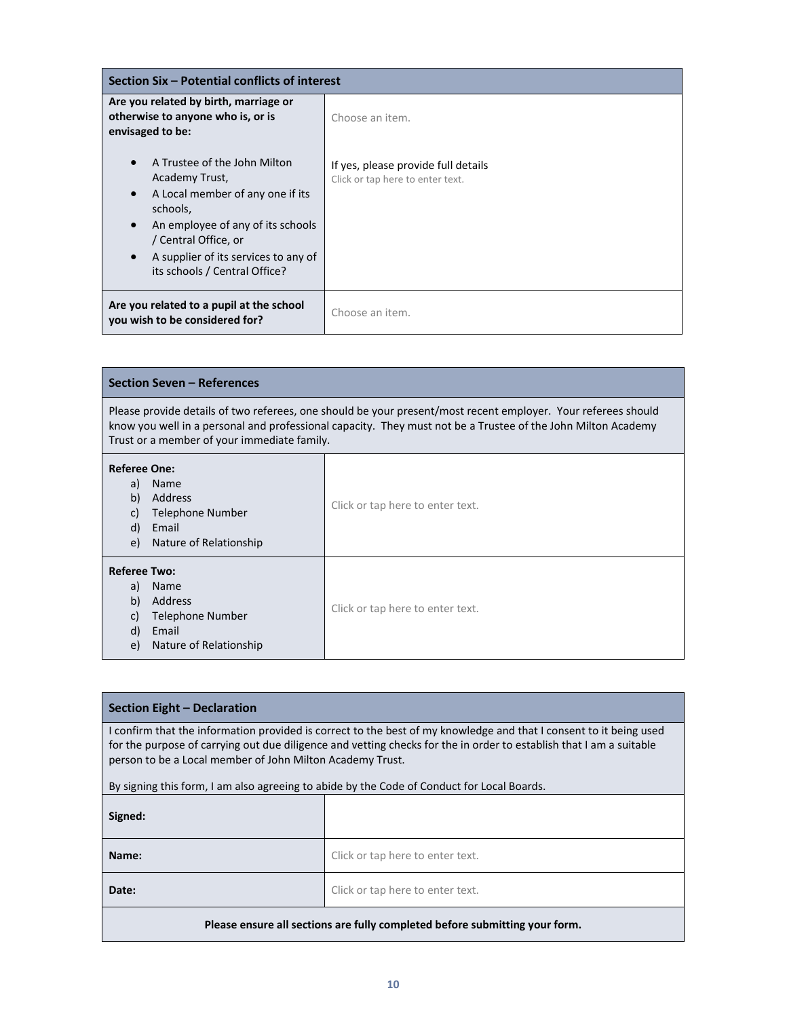| Section Six – Potential conflicts of interest                                                                                                                                                                                                                               |                                                                         |  |
|-----------------------------------------------------------------------------------------------------------------------------------------------------------------------------------------------------------------------------------------------------------------------------|-------------------------------------------------------------------------|--|
| Are you related by birth, marriage or<br>otherwise to anyone who is, or is<br>envisaged to be:                                                                                                                                                                              | Choose an item.                                                         |  |
| A Trustee of the John Milton<br>$\bullet$<br>Academy Trust,<br>A Local member of any one if its<br>$\bullet$<br>schools,<br>An employee of any of its schools<br>$\bullet$<br>/ Central Office, or<br>A supplier of its services to any of<br>its schools / Central Office? | If yes, please provide full details<br>Click or tap here to enter text. |  |
| Are you related to a pupil at the school<br>you wish to be considered for?                                                                                                                                                                                                  | Choose an item.                                                         |  |

| <b>Section Seven - References</b>                                                                                                                                                                                                                                            |                                  |  |  |
|------------------------------------------------------------------------------------------------------------------------------------------------------------------------------------------------------------------------------------------------------------------------------|----------------------------------|--|--|
| Please provide details of two referees, one should be your present/most recent employer. Your referees should<br>know you well in a personal and professional capacity. They must not be a Trustee of the John Milton Academy<br>Trust or a member of your immediate family. |                                  |  |  |
| <b>Referee One:</b><br>a)<br>Name<br>b)<br>Address<br>Click or tap here to enter text.<br>Telephone Number<br>C)<br>d)<br>Email<br>Nature of Relationship<br>e)                                                                                                              |                                  |  |  |
| <b>Referee Two:</b><br>Name<br>a)<br>Address<br>b)<br>Telephone Number<br>C)<br>d)<br>Email<br>Nature of Relationship<br>e)                                                                                                                                                  | Click or tap here to enter text. |  |  |

#### **Section Eight – Declaration**

I confirm that the information provided is correct to the best of my knowledge and that I consent to it being used for the purpose of carrying out due diligence and vetting checks for the in order to establish that I am a suitable person to be a Local member of John Milton Academy Trust.

By signing this form, I am also agreeing to abide by the Code of Conduct for Local Boards.

| Signed: |                                  |
|---------|----------------------------------|
| Name:   | Click or tap here to enter text. |
| Date:   | Click or tap here to enter text. |
|         |                                  |

#### **Please ensure all sections are fully completed before submitting your form.**